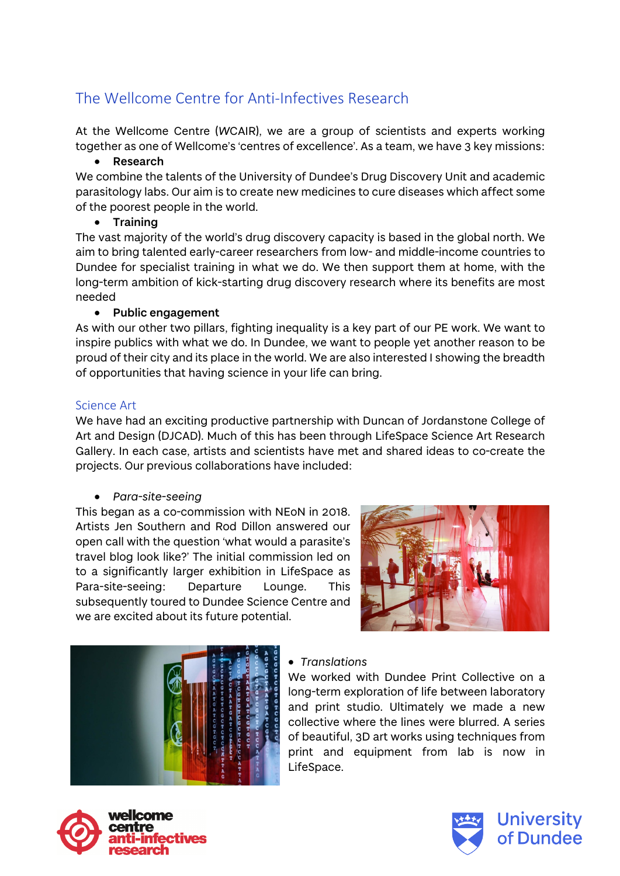# The Wellcome Centre for Anti-Infectives Research

At the Wellcome Centre (*W*CAIR), we are a group of scientists and experts working together as one of Wellcome's 'centres of excellence'. As a team, we have 3 key missions:

### • **Research**

We combine the talents of the University of Dundee's Drug Discovery Unit and academic parasitology labs. Our aim is to create new medicines to cure diseases which affect some of the poorest people in the world.

# • **Training**

The vast majority of the world's drug discovery capacity is based in the global north. We aim to bring talented early-career researchers from low- and middle-income countries to Dundee for specialist training in what we do. We then support them at home, with the long-term ambition of kick-starting drug discovery research where its benefits are most needed

# • **Public engagement**

As with our other two pillars, fighting inequality is a key part of our PE work. We want to inspire publics with what we do. In Dundee, we want to people yet another reason to be proud of their city and its place in the world. We are also interested I showing the breadth of opportunities that having science in your life can bring.

# Science Art

We have had an exciting productive partnership with Duncan of Jordanstone College of Art and Design (DJCAD). Much of this has been through LifeSpace Science Art Research Gallery. In each case, artists and scientists have met and shared ideas to co-create the projects. Our previous collaborations have included:

### • *Para-site-seeing*

This began as a co-commission with NEoN in 2018. Artists Jen Southern and Rod Dillon answered our open call with the question 'what would a parasite's travel blog look like?' The initial commission led on to a significantly larger exhibition in LifeSpace as Para-site-seeing: Departure Lounge. This subsequently toured to Dundee Science Centre and we are excited about its future potential.





# • *Translations*

We worked with Dundee Print Collective on a long-term exploration of life between laboratory and print studio. Ultimately we made a new collective where the lines were blurred. A series of beautiful, 3D art works using techniques from print and equipment from lab is now in LifeSpace.